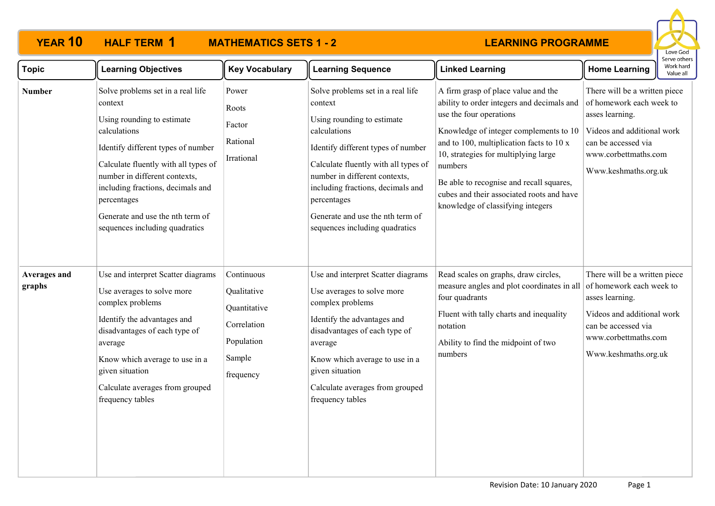# **HALF TERM 1**

# **YEAR 10 HALF TERM MATHEMATICS SETS 1 - 2**



| <b>Topic</b>           | <b>Learning Objectives</b>                                                                                                                                                                                                                                                                                                          | <b>Key Vocabulary</b>                                                                         | <b>Learning Sequence</b>                                                                                                                                                                                                                                                                                                            | <b>Linked Learning</b>                                                                                                                                                                                                                                                                                                                                                              | Work hard<br><b>Home Learning</b><br>Value all                                                                                                                                    |
|------------------------|-------------------------------------------------------------------------------------------------------------------------------------------------------------------------------------------------------------------------------------------------------------------------------------------------------------------------------------|-----------------------------------------------------------------------------------------------|-------------------------------------------------------------------------------------------------------------------------------------------------------------------------------------------------------------------------------------------------------------------------------------------------------------------------------------|-------------------------------------------------------------------------------------------------------------------------------------------------------------------------------------------------------------------------------------------------------------------------------------------------------------------------------------------------------------------------------------|-----------------------------------------------------------------------------------------------------------------------------------------------------------------------------------|
| <b>Number</b>          | Solve problems set in a real life<br>context<br>Using rounding to estimate<br>calculations<br>Identify different types of number<br>Calculate fluently with all types of<br>number in different contexts,<br>including fractions, decimals and<br>percentages<br>Generate and use the nth term of<br>sequences including quadratics | Power<br>Roots<br>Factor<br>Rational<br>Irrational                                            | Solve problems set in a real life<br>context<br>Using rounding to estimate<br>calculations<br>Identify different types of number<br>Calculate fluently with all types of<br>number in different contexts,<br>including fractions, decimals and<br>percentages<br>Generate and use the nth term of<br>sequences including quadratics | A firm grasp of place value and the<br>ability to order integers and decimals and<br>use the four operations<br>Knowledge of integer complements to 10<br>and to 100, multiplication facts to 10 x<br>10, strategies for multiplying large<br>numbers<br>Be able to recognise and recall squares,<br>cubes and their associated roots and have<br>knowledge of classifying integers | There will be a written piece<br>of homework each week to<br>asses learning.<br>Videos and additional work<br>can be accessed via<br>www.corbettmaths.com<br>Www.keshmaths.org.uk |
| Averages and<br>graphs | Use and interpret Scatter diagrams<br>Use averages to solve more<br>complex problems<br>Identify the advantages and<br>disadvantages of each type of<br>average<br>Know which average to use in a<br>given situation<br>Calculate averages from grouped<br>frequency tables                                                         | Continuous<br>Qualitative<br>Quantitative<br>Correlation<br>Population<br>Sample<br>frequency | Use and interpret Scatter diagrams<br>Use averages to solve more<br>complex problems<br>Identify the advantages and<br>disadvantages of each type of<br>average<br>Know which average to use in a<br>given situation<br>Calculate averages from grouped<br>frequency tables                                                         | Read scales on graphs, draw circles,<br>measure angles and plot coordinates in all<br>four quadrants<br>Fluent with tally charts and inequality<br>notation<br>Ability to find the midpoint of two<br>numbers                                                                                                                                                                       | There will be a written piece<br>of homework each week to<br>asses learning.<br>Videos and additional work<br>can be accessed via<br>www.corbettmaths.com<br>Www.keshmaths.org.uk |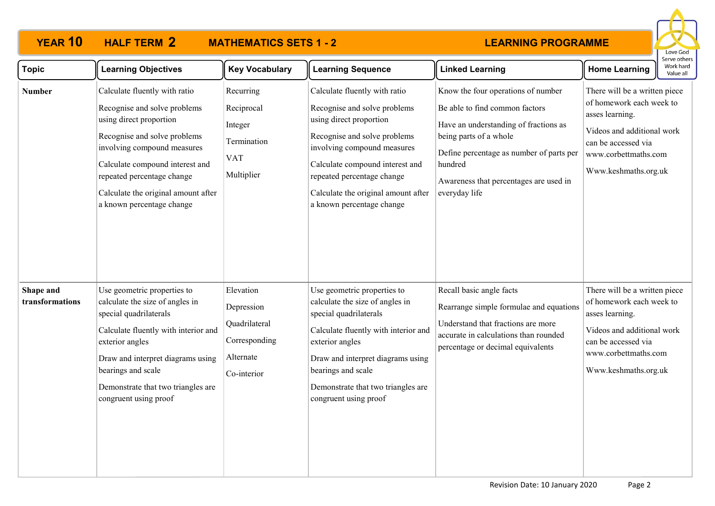### **YEAR 10 HALF TERM MATHEMATICS SETS 1 - 2 2**



| <b>Topic</b>                 | <b>Learning Objectives</b>                                                                                                                                                                                                                                                                   | <b>Key Vocabulary</b>                                                                 | <b>Learning Sequence</b>                                                                                                                                                                                                                                                                     | <b>Linked Learning</b>                                                                                                                                                                                                                                    | <b>Home Learning</b>                                                                                                                                                              | Work hard<br>Value all |
|------------------------------|----------------------------------------------------------------------------------------------------------------------------------------------------------------------------------------------------------------------------------------------------------------------------------------------|---------------------------------------------------------------------------------------|----------------------------------------------------------------------------------------------------------------------------------------------------------------------------------------------------------------------------------------------------------------------------------------------|-----------------------------------------------------------------------------------------------------------------------------------------------------------------------------------------------------------------------------------------------------------|-----------------------------------------------------------------------------------------------------------------------------------------------------------------------------------|------------------------|
| <b>Number</b>                | Calculate fluently with ratio<br>Recognise and solve problems<br>using direct proportion<br>Recognise and solve problems<br>involving compound measures<br>Calculate compound interest and<br>repeated percentage change<br>Calculate the original amount after<br>a known percentage change | Recurring<br>Reciprocal<br>Integer<br>Termination<br><b>VAT</b><br>Multiplier         | Calculate fluently with ratio<br>Recognise and solve problems<br>using direct proportion<br>Recognise and solve problems<br>involving compound measures<br>Calculate compound interest and<br>repeated percentage change<br>Calculate the original amount after<br>a known percentage change | Know the four operations of number<br>Be able to find common factors<br>Have an understanding of fractions as<br>being parts of a whole<br>Define percentage as number of parts per<br>hundred<br>Awareness that percentages are used in<br>everyday life | There will be a written piece<br>of homework each week to<br>asses learning.<br>Videos and additional work<br>can be accessed via<br>www.corbettmaths.com<br>Www.keshmaths.org.uk |                        |
| Shape and<br>transformations | Use geometric properties to<br>calculate the size of angles in<br>special quadrilaterals<br>Calculate fluently with interior and<br>exterior angles<br>Draw and interpret diagrams using<br>bearings and scale<br>Demonstrate that two triangles are<br>congruent using proof                | Elevation<br>Depression<br>Quadrilateral<br>Corresponding<br>Alternate<br>Co-interior | Use geometric properties to<br>calculate the size of angles in<br>special quadrilaterals<br>Calculate fluently with interior and<br>exterior angles<br>Draw and interpret diagrams using<br>bearings and scale<br>Demonstrate that two triangles are<br>congruent using proof                | Recall basic angle facts<br>Rearrange simple formulae and equations<br>Understand that fractions are more<br>accurate in calculations than rounded<br>percentage or decimal equivalents                                                                   | There will be a written piece<br>of homework each week to<br>asses learning.<br>Videos and additional work<br>can be accessed via<br>www.corbettmaths.com<br>Www.keshmaths.org.uk |                        |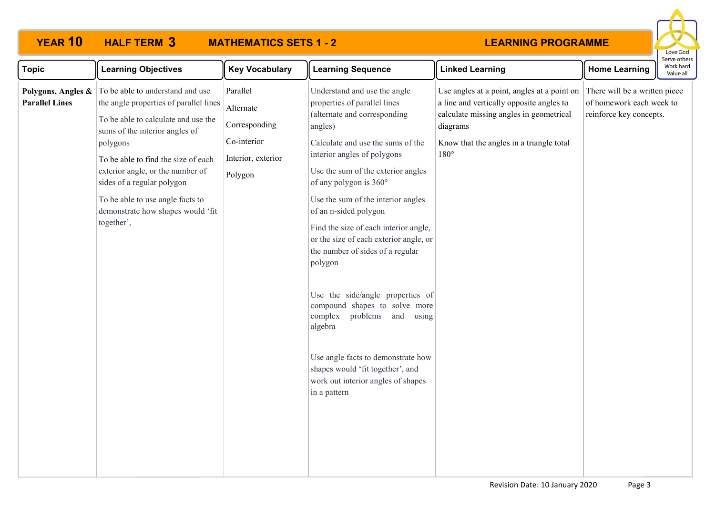

| <b>Topic</b>          | <b>Learning Objectives</b>                                                                                                                                                                                                                                                                                                                                                                                     | <b>Key Vocabulary</b>                                                                  | <b>Learning Sequence</b>                                                                                                                                                                                                                                                                                                                                                                                                                                                                                                                                                                                                                                                                      | <b>Linked Learning</b>                                                                                                                                                                                      | <b>Home Learning</b>                                                                 | -------<br>Work hard<br>Value all |
|-----------------------|----------------------------------------------------------------------------------------------------------------------------------------------------------------------------------------------------------------------------------------------------------------------------------------------------------------------------------------------------------------------------------------------------------------|----------------------------------------------------------------------------------------|-----------------------------------------------------------------------------------------------------------------------------------------------------------------------------------------------------------------------------------------------------------------------------------------------------------------------------------------------------------------------------------------------------------------------------------------------------------------------------------------------------------------------------------------------------------------------------------------------------------------------------------------------------------------------------------------------|-------------------------------------------------------------------------------------------------------------------------------------------------------------------------------------------------------------|--------------------------------------------------------------------------------------|-----------------------------------|
| <b>Parallel Lines</b> | <b>Polygons, Angles &amp;</b> $\boxed{\text{To be able to understand and use}}$<br>the angle properties of parallel lines<br>To be able to calculate and use the<br>sums of the interior angles of<br>polygons<br>To be able to find the size of each<br>exterior angle, or the number of<br>sides of a regular polygon<br>To be able to use angle facts to<br>demonstrate how shapes would 'fit<br>together', | Parallel<br>Alternate<br>Corresponding<br>Co-interior<br>Interior, exterior<br>Polygon | Understand and use the angle<br>properties of parallel lines<br>(alternate and corresponding<br>angles)<br>Calculate and use the sums of the<br>interior angles of polygons<br>Use the sum of the exterior angles<br>of any polygon is 360°<br>Use the sum of the interior angles<br>of an n-sided polygon<br>Find the size of each interior angle,<br>or the size of each exterior angle, or<br>the number of sides of a regular<br>polygon<br>Use the side/angle properties of<br>compound shapes to solve more<br>complex<br>problems and using<br>algebra<br>Use angle facts to demonstrate how<br>shapes would 'fit together', and<br>work out interior angles of shapes<br>in a pattern | Use angles at a point, angles at a point on<br>a line and vertically opposite angles to<br>calculate missing angles in geometrical<br>diagrams<br>Know that the angles in a triangle total<br>$180^{\circ}$ | There will be a written piece<br>of homework each week to<br>reinforce key concepts. |                                   |
|                       |                                                                                                                                                                                                                                                                                                                                                                                                                |                                                                                        |                                                                                                                                                                                                                                                                                                                                                                                                                                                                                                                                                                                                                                                                                               |                                                                                                                                                                                                             |                                                                                      |                                   |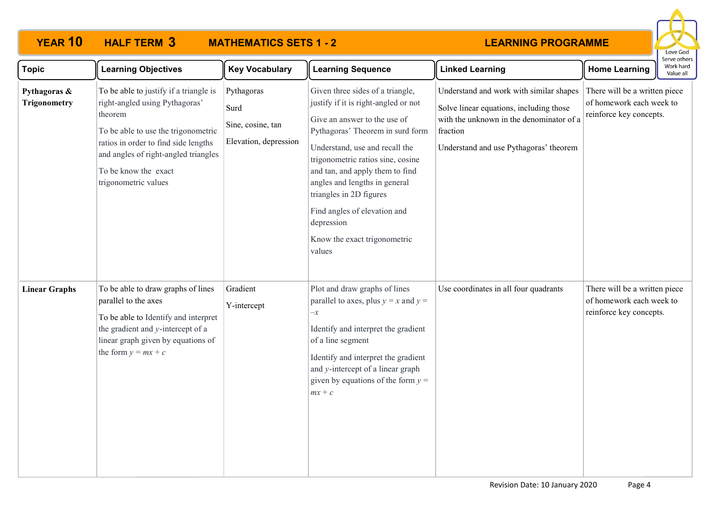

| <b>Topic</b>                        | <b>Learning Objectives</b>                                                                                                                                                                                                                                 | <b>Key Vocabulary</b>                                            | <b>Learning Sequence</b>                                                                                                                                                                                                                                                                                                                                                                                   | <b>Linked Learning</b>                                                                                                                                                               | <b>Home Learning</b>                                                                 | יוויים טיוויים<br>Work hard<br>Value all |
|-------------------------------------|------------------------------------------------------------------------------------------------------------------------------------------------------------------------------------------------------------------------------------------------------------|------------------------------------------------------------------|------------------------------------------------------------------------------------------------------------------------------------------------------------------------------------------------------------------------------------------------------------------------------------------------------------------------------------------------------------------------------------------------------------|--------------------------------------------------------------------------------------------------------------------------------------------------------------------------------------|--------------------------------------------------------------------------------------|------------------------------------------|
| Pythagoras &<br><b>Trigonometry</b> | To be able to justify if a triangle is<br>right-angled using Pythagoras'<br>theorem<br>To be able to use the trigonometric<br>ratios in order to find side lengths<br>and angles of right-angled triangles<br>To be know the exact<br>trigonometric values | Pythagoras<br>Surd<br>Sine, cosine, tan<br>Elevation, depression | Given three sides of a triangle,<br>justify if it is right-angled or not<br>Give an answer to the use of<br>Pythagoras' Theorem in surd form<br>Understand, use and recall the<br>trigonometric ratios sine, cosine<br>and tan, and apply them to find<br>angles and lengths in general<br>triangles in 2D figures<br>Find angles of elevation and<br>depression<br>Know the exact trigonometric<br>values | Understand and work with similar shapes<br>Solve linear equations, including those<br>with the unknown in the denominator of a<br>fraction<br>Understand and use Pythagoras' theorem | There will be a written piece<br>of homework each week to<br>reinforce key concepts. |                                          |
| <b>Linear Graphs</b>                | To be able to draw graphs of lines<br>parallel to the axes<br>To be able to Identify and interpret<br>the gradient and y-intercept of a<br>linear graph given by equations of<br>the form $y = mx + c$                                                     | Gradient<br>Y-intercept                                          | Plot and draw graphs of lines<br>parallel to axes, plus $y = x$ and $y =$<br>$-x$<br>Identify and interpret the gradient<br>of a line segment<br>Identify and interpret the gradient<br>and y-intercept of a linear graph<br>given by equations of the form $y =$<br>$mx + c$                                                                                                                              | Use coordinates in all four quadrants                                                                                                                                                | There will be a written piece<br>of homework each week to<br>reinforce key concepts. |                                          |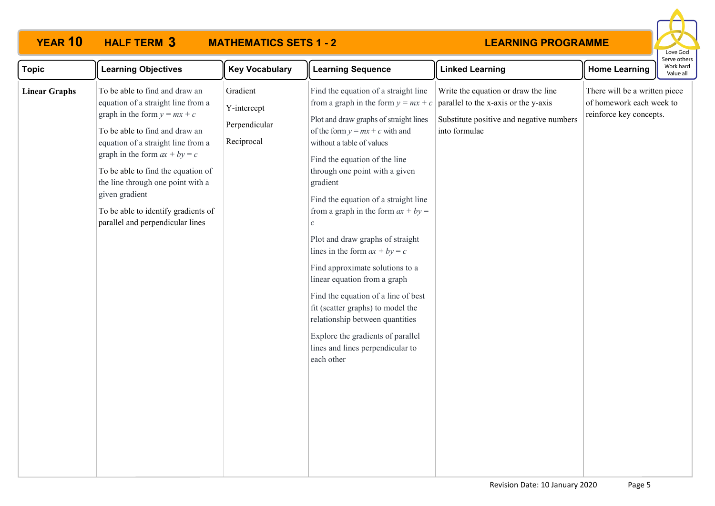# **HALF TERM 3**

# **YEAR 10 HALF TERM MATHEMATICS SETS 1 - 2**



| <b>Topic</b>         | <b>Learning Objectives</b>                                                                                                                                                                                                                                                                                                                                                                | <b>Key Vocabulary</b>                                  | <b>Learning Sequence</b>                                                                                                                                                                                                                                                                                                                                                                                                                                                                                                                                                                                                                                                                                                  | <b>Linked Learning</b>                                                                                                                   | <b>Home Learning</b>                                                                 | erve otrie<br>Work hard<br>Value all |
|----------------------|-------------------------------------------------------------------------------------------------------------------------------------------------------------------------------------------------------------------------------------------------------------------------------------------------------------------------------------------------------------------------------------------|--------------------------------------------------------|---------------------------------------------------------------------------------------------------------------------------------------------------------------------------------------------------------------------------------------------------------------------------------------------------------------------------------------------------------------------------------------------------------------------------------------------------------------------------------------------------------------------------------------------------------------------------------------------------------------------------------------------------------------------------------------------------------------------------|------------------------------------------------------------------------------------------------------------------------------------------|--------------------------------------------------------------------------------------|--------------------------------------|
| <b>Linear Graphs</b> | To be able to find and draw an<br>equation of a straight line from a<br>graph in the form $y = mx + c$<br>To be able to find and draw an<br>equation of a straight line from a<br>graph in the form $ax + by = c$<br>To be able to find the equation of<br>the line through one point with a<br>given gradient<br>To be able to identify gradients of<br>parallel and perpendicular lines | Gradient<br>Y-intercept<br>Perpendicular<br>Reciprocal | Find the equation of a straight line<br>from a graph in the form $y = mx + c$<br>Plot and draw graphs of straight lines<br>of the form $y = mx + c$ with and<br>without a table of values<br>Find the equation of the line<br>through one point with a given<br>gradient<br>Find the equation of a straight line<br>from a graph in the form $ax + by =$<br>$\mathcal{C}$<br>Plot and draw graphs of straight<br>lines in the form $ax + by = c$<br>Find approximate solutions to a<br>linear equation from a graph<br>Find the equation of a line of best<br>fit (scatter graphs) to model the<br>relationship between quantities<br>Explore the gradients of parallel<br>lines and lines perpendicular to<br>each other | Write the equation or draw the line<br>parallel to the x-axis or the y-axis<br>Substitute positive and negative numbers<br>into formulae | There will be a written piece<br>of homework each week to<br>reinforce key concepts. |                                      |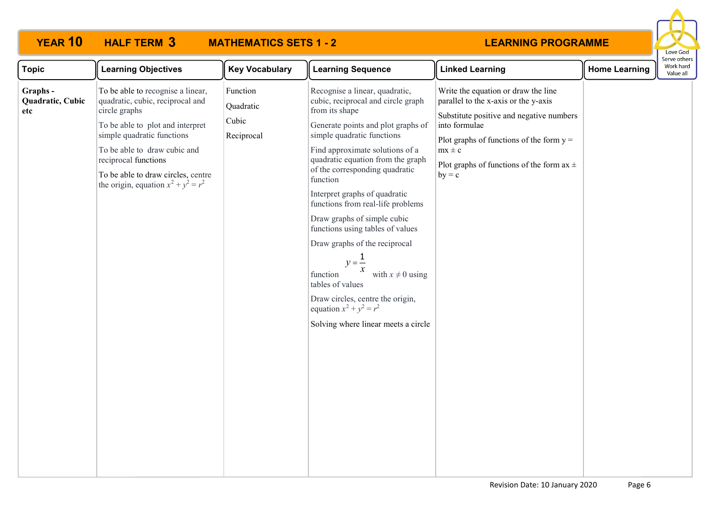# **HALF TERM 3**

# **YEAR 10 HALF TERM MATHEMATICS SETS 1 - 2**



| <b>Topic</b>                        | <b>Learning Objectives</b>                                                                                                                                                                                                                                                                       | <b>Key Vocabulary</b>                        | <b>Learning Sequence</b>                                                                                                                                                                                                                                                                                                                                                                                                                                                                                                                                                                                                                                               | <b>Linked Learning</b>                                                                                                                                                                                                                                            | <b>Home Learning</b> | בו אב טנווכו ב<br>Work hard<br>Value all |  |
|-------------------------------------|--------------------------------------------------------------------------------------------------------------------------------------------------------------------------------------------------------------------------------------------------------------------------------------------------|----------------------------------------------|------------------------------------------------------------------------------------------------------------------------------------------------------------------------------------------------------------------------------------------------------------------------------------------------------------------------------------------------------------------------------------------------------------------------------------------------------------------------------------------------------------------------------------------------------------------------------------------------------------------------------------------------------------------------|-------------------------------------------------------------------------------------------------------------------------------------------------------------------------------------------------------------------------------------------------------------------|----------------------|------------------------------------------|--|
| Graphs -<br>Quadratic, Cubic<br>etc | To be able to recognise a linear,<br>quadratic, cubic, reciprocal and<br>circle graphs<br>To be able to plot and interpret<br>simple quadratic functions<br>To be able to draw cubic and<br>reciprocal functions<br>To be able to draw circles, centre<br>the origin, equation $x^2 + y^2 = r^2$ | Function<br>Quadratic<br>Cubic<br>Reciprocal | Recognise a linear, quadratic,<br>cubic, reciprocal and circle graph<br>from its shape<br>Generate points and plot graphs of<br>simple quadratic functions<br>Find approximate solutions of a<br>quadratic equation from the graph<br>of the corresponding quadratic<br>function<br>Interpret graphs of quadratic<br>functions from real-life problems<br>Draw graphs of simple cubic<br>functions using tables of values<br>Draw graphs of the reciprocal<br>$y=\frac{1}{x}$<br>$\boldsymbol{\chi}$<br>with $x \neq 0$ using<br>function<br>tables of values<br>Draw circles, centre the origin,<br>equation $x^2 + y^2 = r^2$<br>Solving where linear meets a circle | Write the equation or draw the line<br>parallel to the x-axis or the y-axis<br>Substitute positive and negative numbers<br>into formulae<br>Plot graphs of functions of the form $y =$<br>$mx \pm c$<br>Plot graphs of functions of the form $ax \pm$<br>$by = c$ |                      |                                          |  |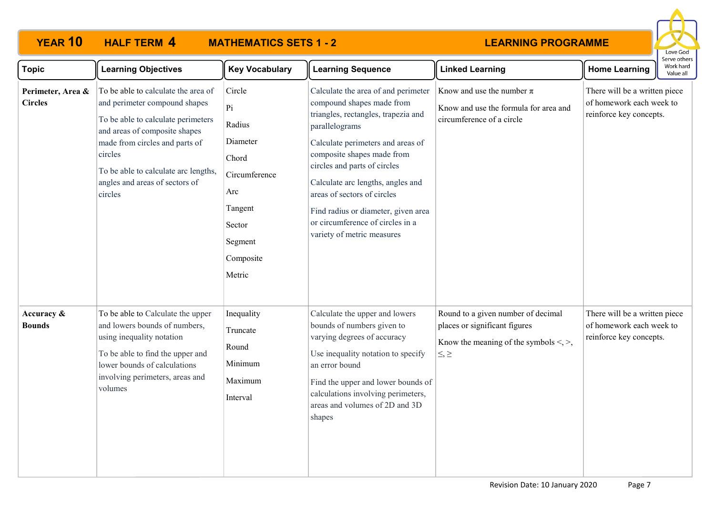

| <b>Topic</b>                        | <b>Learning Objectives</b>                                                                                                                                                                                                                                                    | <b>Key Vocabulary</b>                                                                                                      | <b>Learning Sequence</b>                                                                                                                                                                                                                                                                                                                                                                                  | <b>Linked Learning</b>                                                                                                               | <b>Home Learning</b>                                                                 | יוטער אינויינ<br>Work hard<br>Value all |
|-------------------------------------|-------------------------------------------------------------------------------------------------------------------------------------------------------------------------------------------------------------------------------------------------------------------------------|----------------------------------------------------------------------------------------------------------------------------|-----------------------------------------------------------------------------------------------------------------------------------------------------------------------------------------------------------------------------------------------------------------------------------------------------------------------------------------------------------------------------------------------------------|--------------------------------------------------------------------------------------------------------------------------------------|--------------------------------------------------------------------------------------|-----------------------------------------|
| Perimeter, Area &<br><b>Circles</b> | To be able to calculate the area of<br>and perimeter compound shapes<br>To be able to calculate perimeters<br>and areas of composite shapes<br>made from circles and parts of<br>circles<br>To be able to calculate arc lengths,<br>angles and areas of sectors of<br>circles | Circle<br>Pi<br>Radius<br>Diameter<br>Chord<br>Circumference<br>Arc<br>Tangent<br>Sector<br>Segment<br>Composite<br>Metric | Calculate the area of and perimeter<br>compound shapes made from<br>triangles, rectangles, trapezia and<br>parallelograms<br>Calculate perimeters and areas of<br>composite shapes made from<br>circles and parts of circles<br>Calculate arc lengths, angles and<br>areas of sectors of circles<br>Find radius or diameter, given area<br>or circumference of circles in a<br>variety of metric measures | Know and use the number $\pi$<br>Know and use the formula for area and<br>circumference of a circle                                  | There will be a written piece<br>of homework each week to<br>reinforce key concepts. |                                         |
| Accuracy &<br><b>Bounds</b>         | To be able to Calculate the upper<br>and lowers bounds of numbers,<br>using inequality notation<br>To be able to find the upper and<br>lower bounds of calculations<br>involving perimeters, areas and<br>volumes                                                             | Inequality<br>Truncate<br>Round<br>Minimum<br>Maximum<br>Interval                                                          | Calculate the upper and lowers<br>bounds of numbers given to<br>varying degrees of accuracy<br>Use inequality notation to specify<br>an error bound<br>Find the upper and lower bounds of<br>calculations involving perimeters,<br>areas and volumes of 2D and 3D<br>shapes                                                                                                                               | Round to a given number of decimal<br>places or significant figures<br>Know the meaning of the symbols $\leq, \geq,$<br>$\leq, \geq$ | There will be a written piece<br>of homework each week to<br>reinforce key concepts. |                                         |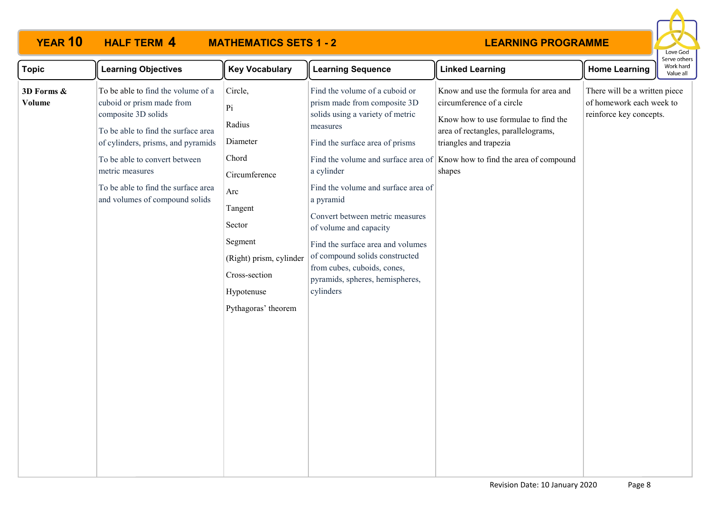

| <b>Topic</b>                | <b>Learning Objectives</b>                                                                                                                                                                                                                                                                       | <b>Key Vocabulary</b>                                                                                                                                                                      | <b>Learning Sequence</b>                                                                                                                                                                                                                                                                                                                                                                                                                                                      | <b>Linked Learning</b>                                                                                                                                                                                                         | <b>Home Learning</b>                                                                 | Work hard<br>Value all |
|-----------------------------|--------------------------------------------------------------------------------------------------------------------------------------------------------------------------------------------------------------------------------------------------------------------------------------------------|--------------------------------------------------------------------------------------------------------------------------------------------------------------------------------------------|-------------------------------------------------------------------------------------------------------------------------------------------------------------------------------------------------------------------------------------------------------------------------------------------------------------------------------------------------------------------------------------------------------------------------------------------------------------------------------|--------------------------------------------------------------------------------------------------------------------------------------------------------------------------------------------------------------------------------|--------------------------------------------------------------------------------------|------------------------|
| 3D Forms &<br><b>Volume</b> | To be able to find the volume of a<br>cuboid or prism made from<br>composite 3D solids<br>To be able to find the surface area<br>of cylinders, prisms, and pyramids<br>To be able to convert between<br>metric measures<br>To be able to find the surface area<br>and volumes of compound solids | Circle,<br>$ P_1 $<br>Radius<br>Diameter<br>Chord<br>Circumference<br>Arc<br>Tangent<br>Sector<br>Segment<br>(Right) prism, cylinder<br>Cross-section<br>Hypotenuse<br>Pythagoras' theorem | Find the volume of a cuboid or<br>prism made from composite 3D<br>solids using a variety of metric<br>measures<br>Find the surface area of prisms<br>Find the volume and surface area of<br>a cylinder<br>Find the volume and surface area of<br>a pyramid<br>Convert between metric measures<br>of volume and capacity<br>Find the surface area and volumes<br>of compound solids constructed<br>from cubes, cuboids, cones,<br>pyramids, spheres, hemispheres,<br>cylinders | Know and use the formula for area and<br>circumference of a circle<br>Know how to use formulae to find the<br>area of rectangles, parallelograms,<br>triangles and trapezia<br>Know how to find the area of compound<br>shapes | There will be a written piece<br>of homework each week to<br>reinforce key concepts. |                        |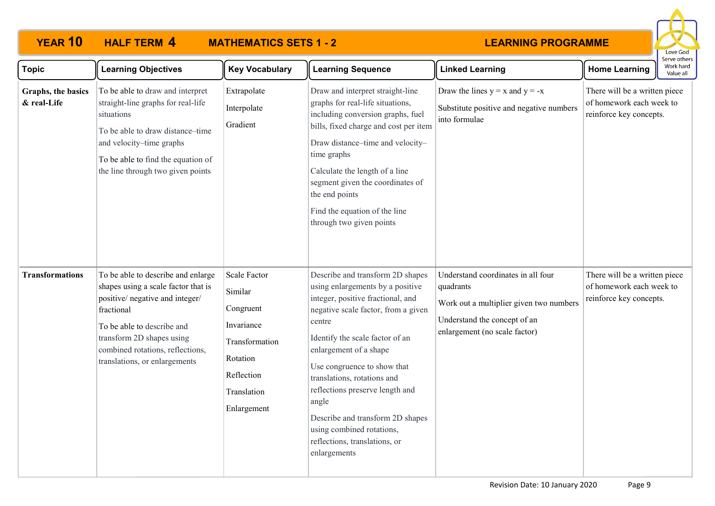

| <b>Topic</b>                      | <b>Learning Objectives</b>                                                                                                                                                                                                                                 | <b>Key Vocabulary</b>                                                                                                               | <b>Learning Sequence</b>                                                                                                                                                                                                                                                                                                                                                                                                                            | <b>Linked Learning</b>                                                                                                                                      | <b>Home Learning</b>                                                                 | Serve others<br>Work hard<br>Value all |
|-----------------------------------|------------------------------------------------------------------------------------------------------------------------------------------------------------------------------------------------------------------------------------------------------------|-------------------------------------------------------------------------------------------------------------------------------------|-----------------------------------------------------------------------------------------------------------------------------------------------------------------------------------------------------------------------------------------------------------------------------------------------------------------------------------------------------------------------------------------------------------------------------------------------------|-------------------------------------------------------------------------------------------------------------------------------------------------------------|--------------------------------------------------------------------------------------|----------------------------------------|
| Graphs, the basics<br>& real-Life | To be able to draw and interpret<br>straight-line graphs for real-life<br>situations<br>To be able to draw distance-time<br>and velocity-time graphs<br>To be able to find the equation of<br>the line through two given points                            | Extrapolate<br>Interpolate<br>Gradient                                                                                              | Draw and interpret straight-line<br>graphs for real-life situations,<br>including conversion graphs, fuel<br>bills, fixed charge and cost per item<br>Draw distance-time and velocity-<br>time graphs<br>Calculate the length of a line<br>segment given the coordinates of<br>the end points<br>Find the equation of the line<br>through two given points                                                                                          | Draw the lines $y = x$ and $y = -x$<br>Substitute positive and negative numbers<br>into formulae                                                            | There will be a written piece<br>of homework each week to<br>reinforce key concepts. |                                        |
| <b>Transformations</b>            | To be able to describe and enlarge<br>shapes using a scale factor that is<br>positive/ negative and integer/<br>fractional<br>To be able to describe and<br>transform 2D shapes using<br>combined rotations, reflections,<br>translations, or enlargements | <b>Scale Factor</b><br>Similar<br>Congruent<br>Invariance<br>Transformation<br>Rotation<br>Reflection<br>Translation<br>Enlargement | Describe and transform 2D shapes<br>using enlargements by a positive<br>integer, positive fractional, and<br>negative scale factor, from a given<br>centre<br>Identify the scale factor of an<br>enlargement of a shape<br>Use congruence to show that<br>translations, rotations and<br>reflections preserve length and<br>angle<br>Describe and transform 2D shapes<br>using combined rotations,<br>reflections, translations, or<br>enlargements | Understand coordinates in all four<br>quadrants<br>Work out a multiplier given two numbers<br>Understand the concept of an<br>enlargement (no scale factor) | There will be a written piece<br>of homework each week to<br>reinforce key concepts. |                                        |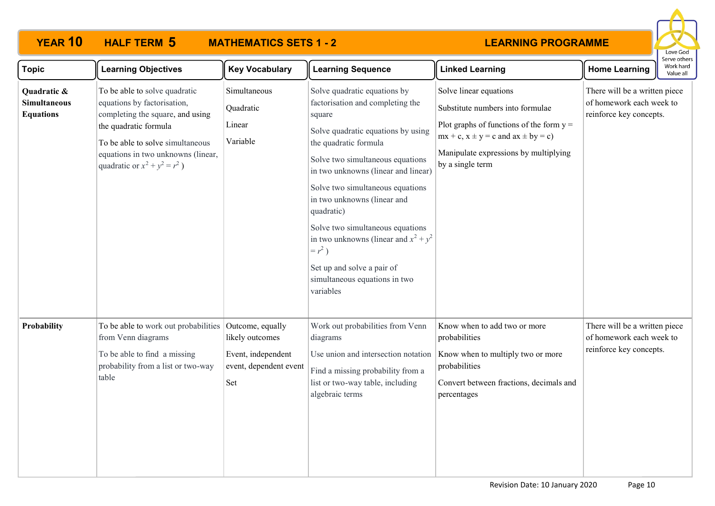

| <b>Topic</b>                                           | <b>Learning Objectives</b>                                                                                                                                                                                                              | <b>Key Vocabulary</b>                                                  | <b>Learning Sequence</b>                                                                                                                                                                                                                                                                                                                                                                                                                                                     | <b>Linked Learning</b>                                                                                                                                                                                                  | <b>Home Learning</b>                                                                 | Work hard<br>Value all |  |
|--------------------------------------------------------|-----------------------------------------------------------------------------------------------------------------------------------------------------------------------------------------------------------------------------------------|------------------------------------------------------------------------|------------------------------------------------------------------------------------------------------------------------------------------------------------------------------------------------------------------------------------------------------------------------------------------------------------------------------------------------------------------------------------------------------------------------------------------------------------------------------|-------------------------------------------------------------------------------------------------------------------------------------------------------------------------------------------------------------------------|--------------------------------------------------------------------------------------|------------------------|--|
| Quadratic &<br><b>Simultaneous</b><br><b>Equations</b> | To be able to solve quadratic<br>equations by factorisation,<br>completing the square, and using<br>the quadratic formula<br>To be able to solve simultaneous<br>equations in two unknowns (linear,<br>quadratic or $x^2 + y^2 = r^2$ ) | Simultaneous<br>Quadratic<br>Linear<br>Variable                        | Solve quadratic equations by<br>factorisation and completing the<br>square<br>Solve quadratic equations by using<br>the quadratic formula<br>Solve two simultaneous equations<br>in two unknowns (linear and linear)<br>Solve two simultaneous equations<br>in two unknowns (linear and<br>quadratic)<br>Solve two simultaneous equations<br>in two unknowns (linear and $x^2 + y^2$<br>$= r2$ )<br>Set up and solve a pair of<br>simultaneous equations in two<br>variables | Solve linear equations<br>Substitute numbers into formulae<br>Plot graphs of functions of the form $y =$<br>$mx + c$ , $x \pm y = c$ and $ax \pm by = c$ )<br>Manipulate expressions by multiplying<br>by a single term | There will be a written piece<br>of homework each week to<br>reinforce key concepts. |                        |  |
| <b>Probability</b>                                     | To be able to work out probabilities Outcome, equally<br>from Venn diagrams<br>To be able to find a missing<br>probability from a list or two-way<br>table                                                                              | likely outcomes<br>Event, independent<br>event, dependent event<br>Set | Work out probabilities from Venn<br>diagrams<br>Use union and intersection notation<br>Find a missing probability from a<br>list or two-way table, including<br>algebraic terms                                                                                                                                                                                                                                                                                              | Know when to add two or more<br>probabilities<br>Know when to multiply two or more<br>probabilities<br>Convert between fractions, decimals and<br>percentages                                                           | There will be a written piece<br>of homework each week to<br>reinforce key concepts. |                        |  |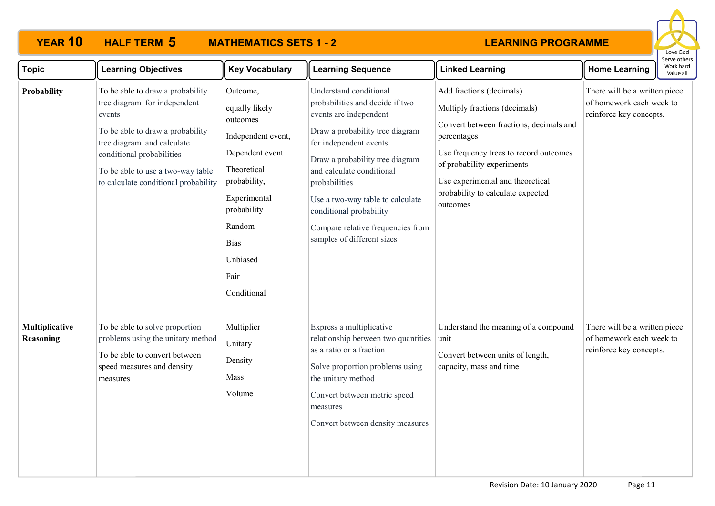

| <b>Topic</b>                | <b>Learning Objectives</b>                                                                                                                                                                                                                             | <b>Key Vocabulary</b>                                                                                                                                                                                     | <b>Learning Sequence</b>                                                                                                                                                                                                                                                                                                                                            | <b>Linked Learning</b>                                                                                                                                                                                                                                                           | <b>Home Learning</b>                                                                 | Work hard<br>Value all |
|-----------------------------|--------------------------------------------------------------------------------------------------------------------------------------------------------------------------------------------------------------------------------------------------------|-----------------------------------------------------------------------------------------------------------------------------------------------------------------------------------------------------------|---------------------------------------------------------------------------------------------------------------------------------------------------------------------------------------------------------------------------------------------------------------------------------------------------------------------------------------------------------------------|----------------------------------------------------------------------------------------------------------------------------------------------------------------------------------------------------------------------------------------------------------------------------------|--------------------------------------------------------------------------------------|------------------------|
| Probability                 | To be able to draw a probability<br>tree diagram for independent<br>events<br>To be able to draw a probability<br>tree diagram and calculate<br>conditional probabilities<br>To be able to use a two-way table<br>to calculate conditional probability | Outcome,<br>equally likely<br>outcomes<br>Independent event,<br>Dependent event<br>Theoretical<br>probability,<br>Experimental<br>probability<br>Random<br><b>Bias</b><br>Unbiased<br>Fair<br>Conditional | Understand conditional<br>probabilities and decide if two<br>events are independent<br>Draw a probability tree diagram<br>for independent events<br>Draw a probability tree diagram<br>and calculate conditional<br>probabilities<br>Use a two-way table to calculate<br>conditional probability<br>Compare relative frequencies from<br>samples of different sizes | Add fractions (decimals)<br>Multiply fractions (decimals)<br>Convert between fractions, decimals and<br>percentages<br>Use frequency trees to record outcomes<br>of probability experiments<br>Use experimental and theoretical<br>probability to calculate expected<br>outcomes | There will be a written piece<br>of homework each week to<br>reinforce key concepts. |                        |
| Multiplicative<br>Reasoning | To be able to solve proportion<br>problems using the unitary method<br>To be able to convert between<br>speed measures and density<br>measures                                                                                                         | Multiplier<br>Unitary<br>Density<br>Mass<br>Volume                                                                                                                                                        | Express a multiplicative<br>relationship between two quantities<br>as a ratio or a fraction<br>Solve proportion problems using<br>the unitary method<br>Convert between metric speed<br>measures<br>Convert between density measures                                                                                                                                | Understand the meaning of a compound<br>unit<br>Convert between units of length,<br>capacity, mass and time                                                                                                                                                                      | There will be a written piece<br>of homework each week to<br>reinforce key concepts. |                        |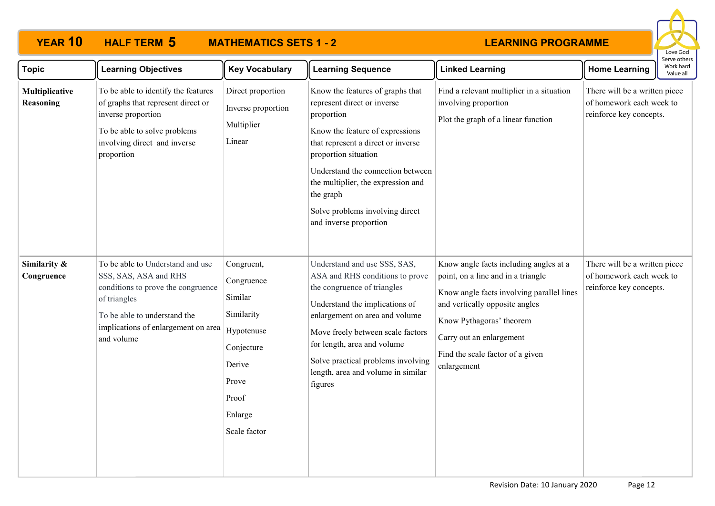

| <b>Topic</b>                | <b>Learning Objectives</b>                                                                                                                                                                           | <b>Key Vocabulary</b>                                                                                                                | <b>Learning Sequence</b>                                                                                                                                                                                                                                                                                                            | <b>Linked Learning</b>                                                                                                                                                                                                                                                 | <b>Home Learning</b>                                                                 | Serve others<br>Work hard<br>Value all |
|-----------------------------|------------------------------------------------------------------------------------------------------------------------------------------------------------------------------------------------------|--------------------------------------------------------------------------------------------------------------------------------------|-------------------------------------------------------------------------------------------------------------------------------------------------------------------------------------------------------------------------------------------------------------------------------------------------------------------------------------|------------------------------------------------------------------------------------------------------------------------------------------------------------------------------------------------------------------------------------------------------------------------|--------------------------------------------------------------------------------------|----------------------------------------|
| Multiplicative<br>Reasoning | To be able to identify the features<br>of graphs that represent direct or<br>inverse proportion<br>To be able to solve problems<br>involving direct and inverse<br>proportion                        | Direct proportion<br>Inverse proportion<br>Multiplier<br>Linear                                                                      | Know the features of graphs that<br>represent direct or inverse<br>proportion<br>Know the feature of expressions<br>that represent a direct or inverse<br>proportion situation<br>Understand the connection between<br>the multiplier, the expression and<br>the graph<br>Solve problems involving direct<br>and inverse proportion | Find a relevant multiplier in a situation<br>involving proportion<br>Plot the graph of a linear function                                                                                                                                                               | There will be a written piece<br>of homework each week to<br>reinforce key concepts. |                                        |
| Similarity &<br>Congruence  | To be able to Understand and use<br>SSS, SAS, ASA and RHS<br>conditions to prove the congruence<br>of triangles<br>To be able to understand the<br>implications of enlargement on area<br>and volume | Congruent,<br>Congruence<br>Similar<br>Similarity<br>Hypotenuse<br>Conjecture<br>Derive<br>Prove<br>Proof<br>Enlarge<br>Scale factor | Understand and use SSS, SAS,<br>ASA and RHS conditions to prove<br>the congruence of triangles<br>Understand the implications of<br>enlargement on area and volume<br>Move freely between scale factors<br>for length, area and volume<br>Solve practical problems involving<br>length, area and volume in similar<br>figures       | Know angle facts including angles at a<br>point, on a line and in a triangle<br>Know angle facts involving parallel lines<br>and vertically opposite angles<br>Know Pythagoras' theorem<br>Carry out an enlargement<br>Find the scale factor of a given<br>enlargement | There will be a written piece<br>of homework each week to<br>reinforce key concepts. |                                        |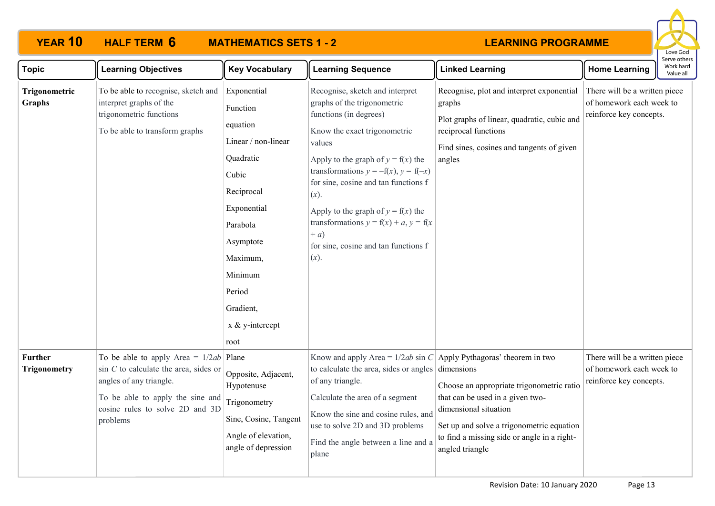

| <b>Topic</b>                          | <b>Learning Objectives</b>                                                                                                                                                                         | <b>Key Vocabulary</b>                                                                                                                                                                                              | <b>Learning Sequence</b>                                                                                                                                                                                                                                                                                                                                                                                                       | <b>Linked Learning</b>                                                                                                                                                                                                | <b>Home Learning</b>                                                                 | בו אב חוובו א<br>Work hard<br>Value all |
|---------------------------------------|----------------------------------------------------------------------------------------------------------------------------------------------------------------------------------------------------|--------------------------------------------------------------------------------------------------------------------------------------------------------------------------------------------------------------------|--------------------------------------------------------------------------------------------------------------------------------------------------------------------------------------------------------------------------------------------------------------------------------------------------------------------------------------------------------------------------------------------------------------------------------|-----------------------------------------------------------------------------------------------------------------------------------------------------------------------------------------------------------------------|--------------------------------------------------------------------------------------|-----------------------------------------|
| Trigonometric<br>Graphs               | To be able to recognise, sketch and<br>interpret graphs of the<br>trigonometric functions<br>To be able to transform graphs                                                                        | Exponential<br>Function<br>equation<br>Linear / non-linear<br>Quadratic<br>Cubic<br>Reciprocal<br>Exponential<br>Parabola<br>Asymptote<br>Maximum,<br>Minimum<br>Period<br>Gradient,<br>$x \& y-intercept$<br>root | Recognise, sketch and interpret<br>graphs of the trigonometric<br>functions (in degrees)<br>Know the exact trigonometric<br>values<br>Apply to the graph of $y = f(x)$ the<br>transformations $y = -f(x)$ , $y = f(-x)$<br>for sine, cosine and tan functions f<br>$(x)$ .<br>Apply to the graph of $y = f(x)$ the<br>transformations $y = f(x) + a$ , $y = f(x)$<br>$+ a)$<br>for sine, cosine and tan functions f<br>$(x)$ . | Recognise, plot and interpret exponential<br>graphs<br>Plot graphs of linear, quadratic, cubic and<br>reciprocal functions<br>Find sines, cosines and tangents of given<br>angles                                     | There will be a written piece<br>of homework each week to<br>reinforce key concepts. |                                         |
| <b>Further</b><br><b>Trigonometry</b> | To be able to apply Area = $1/2ab$ Plane<br>$\sin C$ to calculate the area, sides or<br>angles of any triangle.<br>To be able to apply the sine and<br>cosine rules to solve 2D and 3D<br>problems | Opposite, Adjacent,<br>Hypotenuse<br>Trigonometry<br>Sine, Cosine, Tangent<br>Angle of elevation,<br>angle of depression                                                                                           | Know and apply Area = $1/2ab \sin C$ Apply Pythagoras' theorem in two<br>to calculate the area, sides or angles $\vert$ dimensions<br>of any triangle.<br>Calculate the area of a segment<br>Know the sine and cosine rules, and<br>use to solve 2D and 3D problems<br>Find the angle between a line and a<br>plane                                                                                                            | Choose an appropriate trigonometric ratio<br>that can be used in a given two-<br>dimensional situation<br>Set up and solve a trigonometric equation<br>to find a missing side or angle in a right-<br>angled triangle | There will be a written piece<br>of homework each week to<br>reinforce key concepts. |                                         |